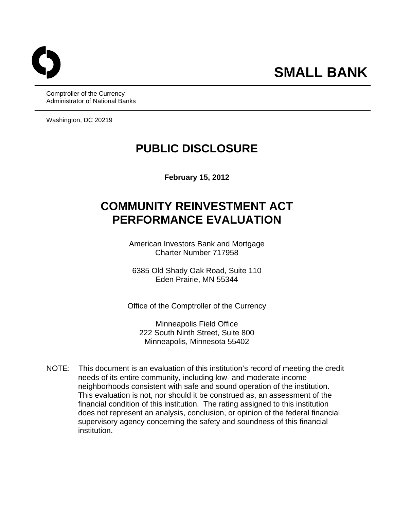Comptroller of the Currency Administrator of National Banks

Washington, DC 20219

# **PUBLIC DISCLOSURE**

**February 15, 2012** 

# **COMMUNITY REINVESTMENT ACT PERFORMANCE EVALUATION**

American Investors Bank and Mortgage Charter Number 717958

6385 Old Shady Oak Road, Suite 110 Eden Prairie, MN 55344

Office of the Comptroller of the Currency

Minneapolis Field Office 222 South Ninth Street, Suite 800 Minneapolis, Minnesota 55402

NOTE: This document is an evaluation of this institution's record of meeting the credit needs of its entire community, including low- and moderate-income neighborhoods consistent with safe and sound operation of the institution. This evaluation is not, nor should it be construed as, an assessment of the financial condition of this institution. The rating assigned to this institution does not represent an analysis, conclusion, or opinion of the federal financial supervisory agency concerning the safety and soundness of this financial institution.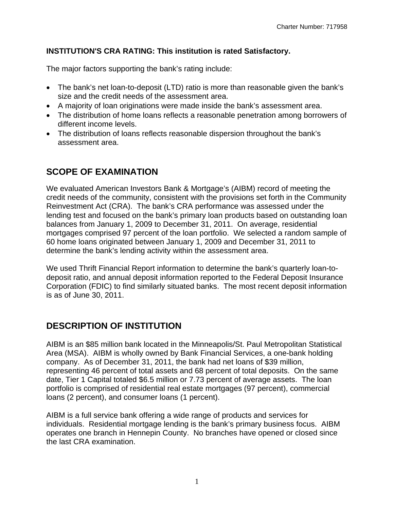#### **INSTITUTION'S CRA RATING: This institution is rated Satisfactory.**

The major factors supporting the bank's rating include:

- The bank's net loan-to-deposit (LTD) ratio is more than reasonable given the bank's size and the credit needs of the assessment area.
- A majority of loan originations were made inside the bank's assessment area.
- The distribution of home loans reflects a reasonable penetration among borrowers of different income levels.
- The distribution of loans reflects reasonable dispersion throughout the bank's assessment area.

# **SCOPE OF EXAMINATION**

We evaluated American Investors Bank & Mortgage's (AIBM) record of meeting the credit needs of the community, consistent with the provisions set forth in the Community Reinvestment Act (CRA). The bank's CRA performance was assessed under the lending test and focused on the bank's primary loan products based on outstanding loan balances from January 1, 2009 to December 31, 2011. On average, residential mortgages comprised 97 percent of the loan portfolio. We selected a random sample of 60 home loans originated between January 1, 2009 and December 31, 2011 to determine the bank's lending activity within the assessment area.

We used Thrift Financial Report information to determine the bank's quarterly loan-todeposit ratio, and annual deposit information reported to the Federal Deposit Insurance Corporation (FDIC) to find similarly situated banks. The most recent deposit information is as of June 30, 2011.

## **DESCRIPTION OF INSTITUTION**

AIBM is an \$85 million bank located in the Minneapolis/St. Paul Metropolitan Statistical Area (MSA). AIBM is wholly owned by Bank Financial Services, a one-bank holding company. As of December 31, 2011, the bank had net loans of \$39 million, representing 46 percent of total assets and 68 percent of total deposits. On the same date, Tier 1 Capital totaled \$6.5 million or 7.73 percent of average assets. The loan portfolio is comprised of residential real estate mortgages (97 percent), commercial loans (2 percent), and consumer loans (1 percent).

AIBM is a full service bank offering a wide range of products and services for individuals. Residential mortgage lending is the bank's primary business focus. AIBM operates one branch in Hennepin County. No branches have opened or closed since the last CRA examination.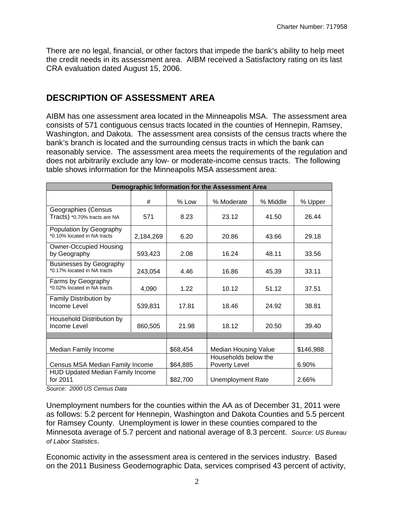There are no legal, financial, or other factors that impede the bank's ability to help meet the credit needs in its assessment area. AIBM received a Satisfactory rating on its last CRA evaluation dated August 15, 2006.

# **DESCRIPTION OF ASSESSMENT AREA**

AIBM has one assessment area located in the Minneapolis MSA. The assessment area consists of 571 contiguous census tracts located in the counties of Hennepin, Ramsey, Washington, and Dakota. The assessment area consists of the census tracts where the bank's branch is located and the surrounding census tracts in which the bank can reasonably service. The assessment area meets the requirements of the regulation and does not arbitrarily exclude any low- or moderate-income census tracts. The following table shows information for the Minneapolis MSA assessment area:

| Demographic Information for the Assessment Area               |           |                                                |                      |          |           |  |  |  |  |
|---------------------------------------------------------------|-----------|------------------------------------------------|----------------------|----------|-----------|--|--|--|--|
|                                                               | #         | $%$ Low                                        | % Moderate           | % Middle | % Upper   |  |  |  |  |
| Geographies (Census<br>Tracts) *0.70% tracts are NA           | 571       | 8.23                                           | 23.12                | 41.50    | 26.44     |  |  |  |  |
| Population by Geography<br>*0.10% located in NA tracts        | 2,184,269 | 6.20                                           | 20.86                | 43.66    | 29.18     |  |  |  |  |
| <b>Owner-Occupied Housing</b><br>by Geography                 | 593,423   | 2.08                                           | 16.24                | 48.11    | 33.56     |  |  |  |  |
| <b>Businesses by Geography</b><br>*0.17% located in NA tracts | 243,054   | 4.46                                           | 16.86                | 45.39    | 33.11     |  |  |  |  |
| Farms by Geography<br>*0.02% located in NA tracts             | 4,090     | 1.22                                           | 10.12                | 51.12    | 37.51     |  |  |  |  |
| Family Distribution by<br>Income Level                        | 539,831   | 17.81                                          | 18.46                | 24.92    | 38.81     |  |  |  |  |
| Household Distribution by<br>Income Level                     | 860,505   | 21.98                                          | 18.12                | 20.50    | 39.40     |  |  |  |  |
| Median Family Income                                          |           | \$68,454                                       | Median Housing Value |          | \$146,988 |  |  |  |  |
| Census MSA Median Family Income                               | \$64,885  | Households below the<br>Poverty Level<br>6.90% |                      |          |           |  |  |  |  |
| <b>HUD Updated Median Family Income</b><br>for 2011           | \$82,700  | <b>Unemployment Rate</b>                       | 2.66%                |          |           |  |  |  |  |

*Source: 2000 US Census Data* 

Unemployment numbers for the counties within the AA as of December 31, 2011 were as follows: 5.2 percent for Hennepin, Washington and Dakota Counties and 5.5 percent for Ramsey County. Unemployment is lower in these counties compared to the Minnesota average of 5.7 percent and national average of 8.3 percent. *Source: US Bureau of Labor Statistics*.

Economic activity in the assessment area is centered in the services industry. Based on the 2011 Business Geodemographic Data, services comprised 43 percent of activity,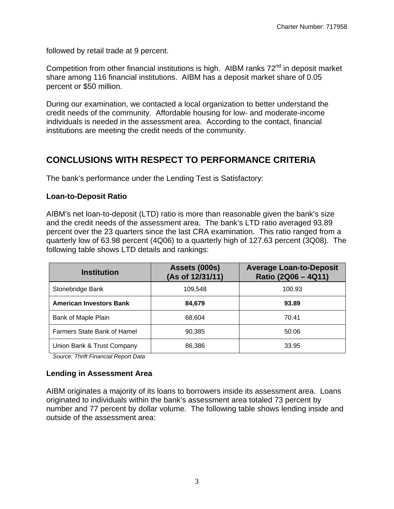followed by retail trade at 9 percent.

Competition from other financial institutions is high. AIBM ranks  $72<sup>nd</sup>$  in deposit market share among 116 financial institutions. AIBM has a deposit market share of 0.05 percent or \$50 million.

During our examination, we contacted a local organization to better understand the credit needs of the community. Affordable housing for low- and moderate-income individuals is needed in the assessment area. According to the contact, financial institutions are meeting the credit needs of the community.

## **CONCLUSIONS WITH RESPECT TO PERFORMANCE CRITERIA**

The bank's performance under the Lending Test is Satisfactory:

#### **Loan-to-Deposit Ratio**

AIBM's net loan-to-deposit (LTD) ratio is more than reasonable given the bank's size and the credit needs of the assessment area. The bank's LTD ratio averaged 93.89 percent over the 23 quarters since the last CRA examination. This ratio ranged from a quarterly low of 63.98 percent (4Q06) to a quarterly high of 127.63 percent (3Q08). The following table shows LTD details and rankings:

| <b>Institution</b>             | Assets (000s)<br>(As of 12/31/11) | <b>Average Loan-to-Deposit</b><br>Ratio (2Q06 - 4Q11) |  |  |  |
|--------------------------------|-----------------------------------|-------------------------------------------------------|--|--|--|
| Stonebridge Bank               | 109.548                           | 100.93                                                |  |  |  |
| <b>American Investors Bank</b> | 84,679                            | 93.89                                                 |  |  |  |
| Bank of Maple Plain            | 68.604                            | 70.41                                                 |  |  |  |
| Farmers State Bank of Hamel    | 90,385                            | 50.06                                                 |  |  |  |
| Union Bank & Trust Company     | 86,386                            | 33.95                                                 |  |  |  |

 *Source: Thrift Financial Report Data* 

#### **Lending in Assessment Area**

AIBM originates a majority of its loans to borrowers inside its assessment area. Loans originated to individuals within the bank's assessment area totaled 73 percent by number and 77 percent by dollar volume. The following table shows lending inside and outside of the assessment area: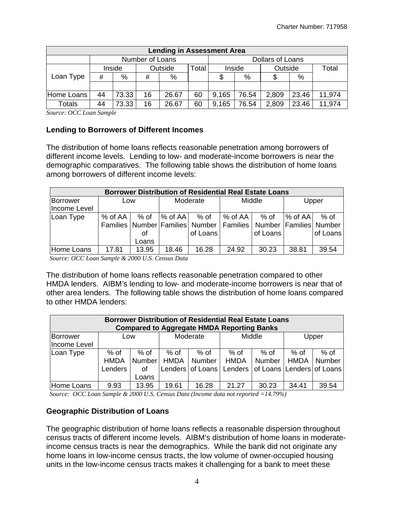| <b>Lending in Assessment Area</b> |                   |       |    |       |       |                         |        |         |       |        |  |
|-----------------------------------|-------------------|-------|----|-------|-------|-------------------------|--------|---------|-------|--------|--|
|                                   | Number of Loans   |       |    |       |       | <b>Dollars of Loans</b> |        |         |       |        |  |
|                                   | Outside<br>Inside |       |    |       | Total |                         | Inside | Outside |       | Total  |  |
| Loan Type                         | #                 | %     | #  | %     |       |                         | %      |         | %     |        |  |
|                                   |                   |       |    |       |       |                         |        |         |       |        |  |
| Home Loans                        | 44                | 73.33 | 16 | 26.67 | 60    | 9.165                   | 76.54  | 2,809   | 23.46 | 11,974 |  |
| Totals                            | 44                | 73.33 | 16 | 26.67 | 60    | 9.165                   | 76.54  | 2,809   | 23.46 | 11,974 |  |

*Source: OCC Loan Sample* 

#### **Lending to Borrowers of Different Incomes**

The distribution of home loans reflects reasonable penetration among borrowers of different income levels. Lending to low- and moderate-income borrowers is near the demographic comparatives. The following table shows the distribution of home loans among borrowers of different income levels:

| <b>Borrower Distribution of Residential Real Estate Loans</b> |             |       |           |                                                                         |                       |          |                     |          |  |  |  |
|---------------------------------------------------------------|-------------|-------|-----------|-------------------------------------------------------------------------|-----------------------|----------|---------------------|----------|--|--|--|
| Borrower                                                      | Low         |       | Moderate  |                                                                         | Middle                |          | Upper               |          |  |  |  |
| Income Level                                                  |             |       |           |                                                                         |                       |          |                     |          |  |  |  |
| Loan Type                                                     | $%$ of AA I | % of  | $%$ of AA | % of                                                                    | $%$ of AA $\parallel$ | % of     | $\frac{1}{6}$ of AA | $%$ of   |  |  |  |
|                                                               |             |       |           | Families Number Families Number   Families   Number   Families   Number |                       |          |                     |          |  |  |  |
|                                                               |             | οf    |           | of Loans                                                                |                       | of Loans |                     | of Loans |  |  |  |
|                                                               |             | Loans |           |                                                                         |                       |          |                     |          |  |  |  |
| Home Loans                                                    | 17.81       | 13.95 | 18.46     | 16.28                                                                   | 24.92                 | 30.23    | 38.81               | 39.54    |  |  |  |

 *Source: OCC Loan Sample & 2000 U.S. Census Data* 

The distribution of home loans reflects reasonable penetration compared to other HMDA lenders. AIBM's lending to low- and moderate-income borrowers is near that of other area lenders. The following table shows the distribution of home loans compared to other HMDA lenders:

| <b>Borrower Distribution of Residential Real Estate Loans</b><br><b>Compared to Aggregate HMDA Reporting Banks</b> |                                |                               |                     |                                    |                     |                                                            |                     |                         |  |  |  |
|--------------------------------------------------------------------------------------------------------------------|--------------------------------|-------------------------------|---------------------|------------------------------------|---------------------|------------------------------------------------------------|---------------------|-------------------------|--|--|--|
| Borrower<br>Income Level                                                                                           | Low                            |                               |                     | Moderate                           |                     | Middle                                                     |                     | Upper                   |  |  |  |
| Loan Type                                                                                                          | % of<br><b>HMDA</b><br>Lenders | % of<br>Number<br>οf<br>Loans | % of<br><b>HMDA</b> | % of<br>Number<br>Lenders of Loans | % of<br><b>HMDA</b> | % of<br><b>Number</b><br>Lenders of Loans Lenders of Loans | % of<br><b>HMDA</b> | $%$ of<br><b>Number</b> |  |  |  |
| Home Loans                                                                                                         | 9.93                           | 13.95                         | 19.61               | 16.28                              | 21.27               | 30.23                                                      | 34.41               | 39.54                   |  |  |  |

 *Source: OCC Loan Sample & 2000 U.S. Census Data (Income data not reported =14.79%)* 

#### **Geographic Distribution of Loans**

The geographic distribution of home loans reflects a reasonable dispersion throughout census tracts of different income levels. AIBM's distribution of home loans in moderateincome census tracts is near the demographics. While the bank did not originate any home loans in low-income census tracts, the low volume of owner-occupied housing units in the low-income census tracts makes it challenging for a bank to meet these